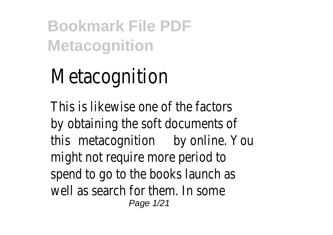# Metacognition

This is likewise one of the facto by obtaining the soft documents this metacognition online. You might not require more period to spend to go to the books launch well as search for them. In some Page 1/21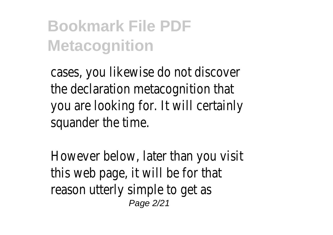cases, you likewise do not disco the declaration metacognition th you are looking for. It will certainly squander the time.

However below, later than you this web page, it will be for that reason utterly simple to get as Page 2/21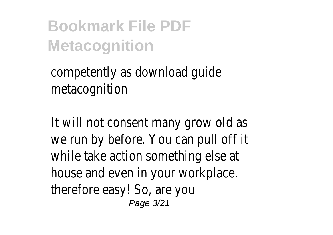competently as download guide metacognition

It will not consent many grow o we run by before. You can pull of while take action something else house and even in your workplace. therefore easy! So, are you Page 3/21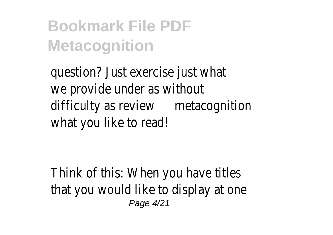question? Just exercise just what we provide under as without difficulty as remiet acognition what you like to read!

Think of this: When you have tit that you would like to display at Page 4/21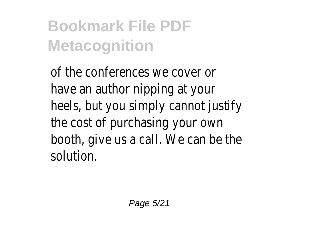of the conferences we cover or have an author nipping at your heels, but you simply cannot just the cost of purchasing your ow booth, give us a call. We can be solution.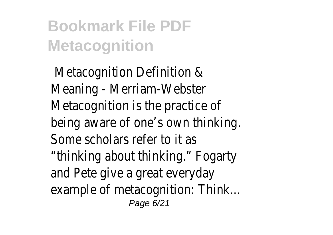Metacognition Definition & Meaning - Merriam-Webster Metacognition is the practice of being aware of one's own thinki Some scholars refer to it as "thinking about thinking." Fogart and Pete give a great everyday example of metacognition: Think. Page 6/21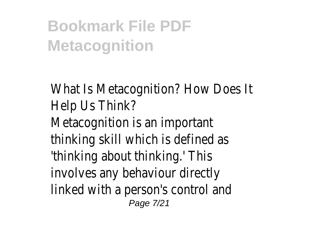What Is Metacognition? How Do Help Us Think? Metacognition is an important thinking skill which is defined as 'thinking about thinking.' This involves any behaviour directly linked with a person's control ar Page 7/21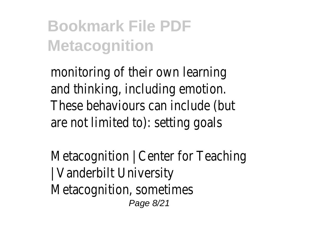monitoring of their own learning and thinking, including emotion. These behaviours can include (but are not limited to): setting goals

Metacognition  $\vert$  Center for Teach | Vanderbilt University Metacognition, sometimes Page 8/21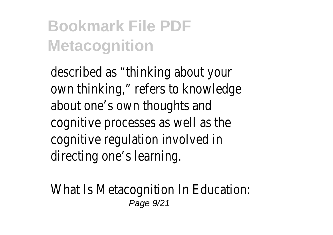described as "thinking about your own thinking," refers to knowled about one's own thoughts and cognitive processes as well as t cognitive regulation involved in directing one's learning.

What Is Metacognition In Education Page 9/21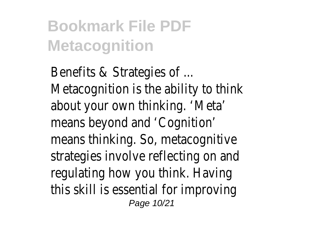Benefits & Strategies of ... Metacognition is the ability to the about your own thinking. 'Meta' means beyond and 'Cognition' means thinking. So, metacognitive strategies involve reflecting on a regulating how you think. Having this skill is essential for improvir Page 10/21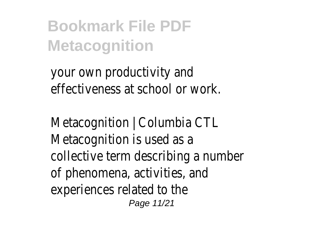your own productivity and effectiveness at school or work.

Metacognition | Columbia CTL Metacognition is used as a collective term describing a num of phenomena, activities, and experiences related to the Page 11/21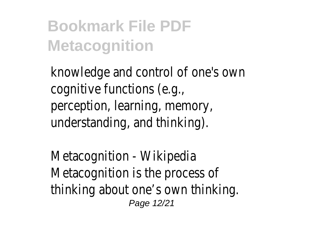knowledge and control of one's cognitive functions (e.g., perception, learning, memory, understanding, and thinking).

Metacognition - Wikipedia Metacognition is the process of thinking about one's own thinkir Page 12/21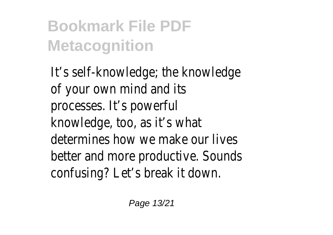It's self-knowledge; the knowled of your own mind and its processes. It's powerful knowledge, too, as it's what determines how we make our live better and more productive. Soundstands that confusing? Let's break it down.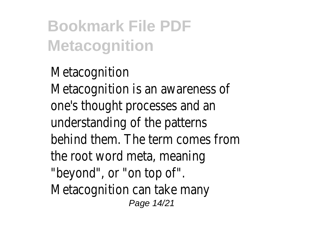Metacognition Metacognition is an awareness one's thought processes and an understanding of the patterns behind them. The term comes from the root word meta, meaning "beyond", or "on top of". Metacognition can take many Page 14/21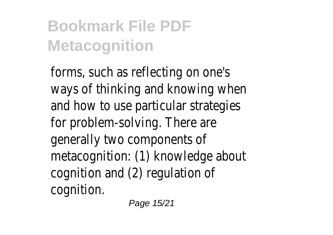forms, such as reflecting on one ways of thinking and knowing w and how to use particular strate for problem-solving. There are generally two components of metacognition: (1) knowledge ab cognition and (2) regulation of cognition.

Page 15/21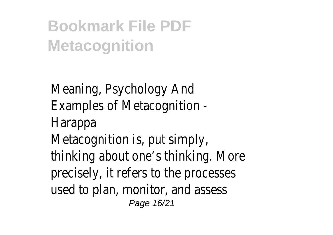Meaning, Psychology And Examples of Metacognition - Harappa Metacognition is, put simply, thinking about one's thinking. M precisely, it refers to the proces used to plan, monitor, and asses Page 16/21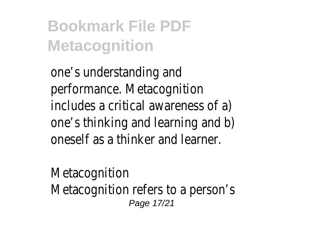one's understanding and performance. Metacognition includes a critical awareness of one's thinking and learning and b oneself as a thinker and learner.

Metacognition Metacognition refers to a person Page 17/21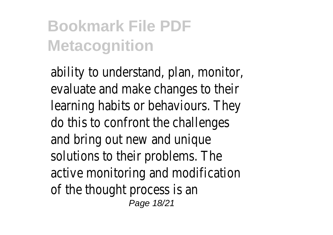ability to understand, plan, monit evaluate and make changes to the learning habits or behaviours. Th do this to confront the challeng and bring out new and unique solutions to their problems. The active monitoring and modificati of the thought process is an Page 18/21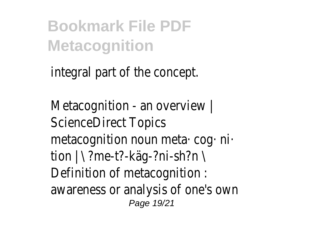integral part of the concept.

Metacognition - an overview | ScienceDirect Topics metacognition noun meta· cog· n tion | \ ?me-t?-käg-?ni-sh?n \ Definition of metacognition : awareness or analysis of one's o Page 19/21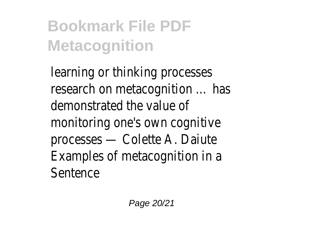learning or thinking processes research on metacognition ... has demonstrated the value of monitoring one's own cognitive processes — Colette A. Daiute Examples of metacognition in a Sentence